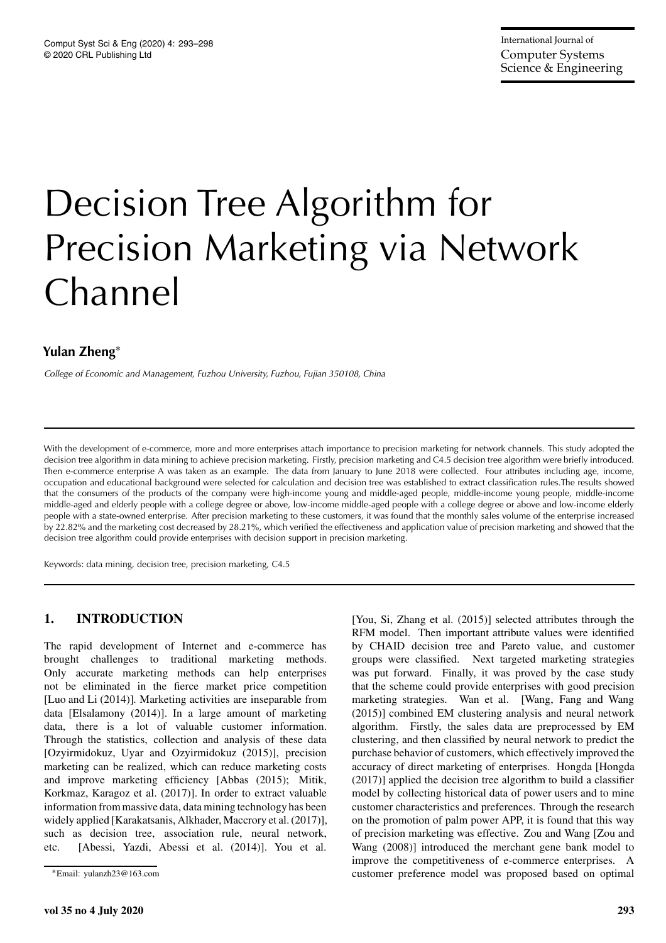# Decision Tree Algorithm for Precision Marketing via Network Channel

# **Yulan Zheng**<sup>∗</sup>

*College of Economic and Management, Fuzhou University, Fuzhou, Fujian 350108, China*

With the development of e-commerce, more and more enterprises attach importance to precision marketing for network channels. This study adopted the decision tree algorithm in data mining to achieve precision marketing. Firstly, precision marketing and C4.5 decision tree algorithm were briefly introduced. Then e-commerce enterprise A was taken as an example. The data from January to June 2018 were collected. Four attributes including age, income, occupation and educational background were selected for calculation and decision tree was established to extract classification rules.The results showed that the consumers of the products of the company were high-income young and middle-aged people, middle-income young people, middle-income middle-aged and elderly people with a college degree or above, low-income middle-aged people with a college degree or above and low-income elderly people with a state-owned enterprise. After precision marketing to these customers, it was found that the monthly sales volume of the enterprise increased by 22.82% and the marketing cost decreased by 28.21%, which verified the effectiveness and application value of precision marketing and showed that the decision tree algorithm could provide enterprises with decision support in precision marketing.

Keywords: data mining, decision tree, precision marketing, C4.5

# **1. INTRODUCTION**

The rapid development of Internet and e-commerce has brought challenges to traditional marketing methods. Only accurate marketing methods can help enterprises not be eliminated in the fierce market price competition [Luo and Li (2014)]. Marketing activities are inseparable from data [Elsalamony (2014)]. In a large amount of marketing data, there is a lot of valuable customer information. Through the statistics, collection and analysis of these data [Ozyirmidokuz, Uyar and Ozyirmidokuz (2015)], precision marketing can be realized, which can reduce marketing costs and improve marketing efficiency [Abbas (2015); Mitik, Korkmaz, Karagoz et al. (2017)]. In order to extract valuable information from massive data, data mining technology has been widely applied [Karakatsanis, Alkhader, Maccrory et al. (2017)], such as decision tree, association rule, neural network, etc. [Abessi, Yazdi, Abessi et al. (2014)]. You et al.

[You, Si, Zhang et al. (2015)] selected attributes through the RFM model. Then important attribute values were identified by CHAID decision tree and Pareto value, and customer groups were classified. Next targeted marketing strategies was put forward. Finally, it was proved by the case study that the scheme could provide enterprises with good precision marketing strategies. Wan et al. [Wang, Fang and Wang (2015)] combined EM clustering analysis and neural network algorithm. Firstly, the sales data are preprocessed by EM clustering, and then classified by neural network to predict the purchase behavior of customers, which effectively improved the accuracy of direct marketing of enterprises. Hongda [Hongda (2017)] applied the decision tree algorithm to build a classifier model by collecting historical data of power users and to mine customer characteristics and preferences. Through the research on the promotion of palm power APP, it is found that this way of precision marketing was effective. Zou and Wang [Zou and Wang (2008)] introduced the merchant gene bank model to improve the competitiveness of e-commerce enterprises. A customer preference model was proposed based on optimal

<sup>∗</sup>Email: yulanzh23@163.com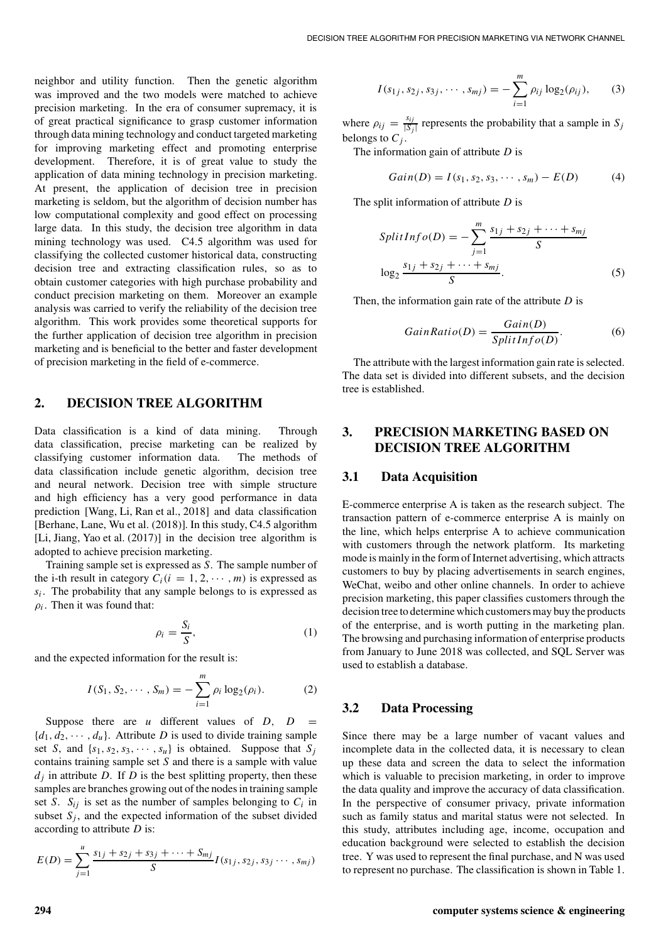neighbor and utility function. Then the genetic algorithm was improved and the two models were matched to achieve precision marketing. In the era of consumer supremacy, it is of great practical significance to grasp customer information through data mining technology and conduct targeted marketing for improving marketing effect and promoting enterprise development. Therefore, it is of great value to study the application of data mining technology in precision marketing. At present, the application of decision tree in precision marketing is seldom, but the algorithm of decision number has low computational complexity and good effect on processing large data. In this study, the decision tree algorithm in data mining technology was used. C4.5 algorithm was used for classifying the collected customer historical data, constructing decision tree and extracting classification rules, so as to obtain customer categories with high purchase probability and conduct precision marketing on them. Moreover an example analysis was carried to verify the reliability of the decision tree algorithm. This work provides some theoretical supports for the further application of decision tree algorithm in precision marketing and is beneficial to the better and faster development of precision marketing in the field of e-commerce.

#### **2. DECISION TREE ALGORITHM**

Data classification is a kind of data mining. Through data classification, precise marketing can be realized by classifying customer information data. The methods of data classification include genetic algorithm, decision tree and neural network. Decision tree with simple structure and high efficiency has a very good performance in data prediction [Wang, Li, Ran et al., 2018] and data classification [Berhane, Lane, Wu et al. (2018)]. In this study, C4.5 algorithm [Li, Jiang, Yao et al. (2017)] in the decision tree algorithm is adopted to achieve precision marketing.

Training sample set is expressed as *S*. The sample number of the i-th result in category  $C_i$  ( $i = 1, 2, \cdots, m$ ) is expressed as  $s_i$ . The probability that any sample belongs to is expressed as  $\rho_i$ . Then it was found that:

$$
\rho_i = \frac{S_i}{S},\tag{1}
$$

and the expected information for the result is:

$$
I(S_1, S_2, \cdots, S_m) = -\sum_{i=1}^m \rho_i \log_2(\rho_i). \tag{2}
$$

Suppose there are *u* different values of  $D$ ,  $D =$  ${d_1, d_2, \dots, d_u}$ . Attribute *D* is used to divide training sample set *S*, and  $\{s_1, s_2, s_3, \cdots, s_u\}$  is obtained. Suppose that  $S_j$ contains training sample set *S* and there is a sample with value  $d_i$  in attribute *D*. If *D* is the best splitting property, then these samples are branches growing out of the nodes in training sample set *S*.  $S_{ij}$  is set as the number of samples belonging to  $C_i$  in subset  $S_i$ , and the expected information of the subset divided according to attribute *D* is:

$$
E(D) = \sum_{j=1}^{u} \frac{s_{1j} + s_{2j} + s_{3j} + \dots + S_{mj}}{S} I(s_{1j}, s_{2j}, s_{3j} \dots, s_{mj})
$$

$$
I(s_{1j}, s_{2j}, s_{3j}, \cdots, s_{mj}) = -\sum_{i=1}^{m} \rho_{ij} \log_2(\rho_{ij}),
$$
 (3)

where  $\rho_{ij} = \frac{s_{ij}}{|S_j|}$  represents the probability that a sample in  $S_j$ belongs to  $C_j$ .

The information gain of attribute *D* is

$$
Gain(D) = I(s_1, s_2, s_3, \cdots, s_m) - E(D)
$$
 (4)

The split information of attribute *D* is

$$
SplitInfo(D) = -\sum_{j=1}^{m} \frac{s_{1j} + s_{2j} + \dots + s_{mj}}{S}
$$

$$
\log_2 \frac{s_{1j} + s_{2j} + \dots + s_{mj}}{S}.
$$
(5)

Then, the information gain rate of the attribute *D* is

$$
GainRatio(D) = \frac{Gain(D)}{SplitInfo(D)}.
$$
 (6)

The attribute with the largest information gain rate is selected. The data set is divided into different subsets, and the decision tree is established.

# **3. PRECISION MARKETING BASED ON DECISION TREE ALGORITHM**

#### **3.1 Data Acquisition**

E-commerce enterprise A is taken as the research subject. The transaction pattern of e-commerce enterprise A is mainly on the line, which helps enterprise A to achieve communication with customers through the network platform. Its marketing mode is mainly in the form of Internet advertising, which attracts customers to buy by placing advertisements in search engines, WeChat, weibo and other online channels. In order to achieve precision marketing, this paper classifies customers through the decision tree to determine which customers may buy the products of the enterprise, and is worth putting in the marketing plan. The browsing and purchasing information of enterprise products from January to June 2018 was collected, and SQL Server was used to establish a database.

#### **3.2 Data Processing**

Since there may be a large number of vacant values and incomplete data in the collected data, it is necessary to clean up these data and screen the data to select the information which is valuable to precision marketing, in order to improve the data quality and improve the accuracy of data classification. In the perspective of consumer privacy, private information such as family status and marital status were not selected. In this study, attributes including age, income, occupation and education background were selected to establish the decision tree. Y was used to represent the final purchase, and N was used to represent no purchase. The classification is shown in Table 1.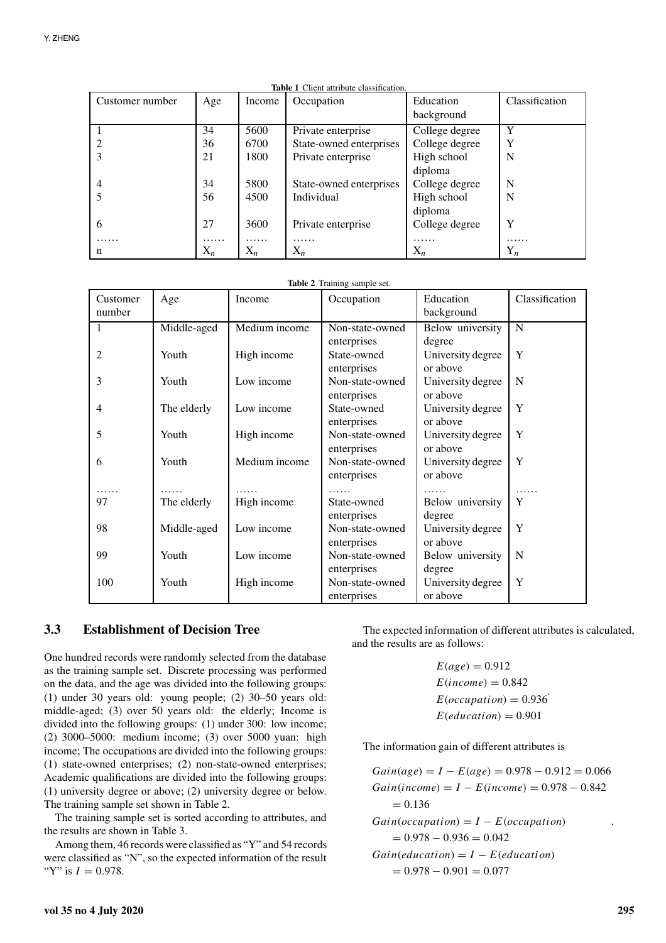| <b>Table 1</b> Client attribute classification. |       |        |                         |                |                |
|-------------------------------------------------|-------|--------|-------------------------|----------------|----------------|
| Customer number                                 | Age   | Income | Occupation              | Education      | Classification |
|                                                 |       |        |                         | background     |                |
|                                                 | 34    | 5600   | Private enterprise      | College degree | Y              |
|                                                 | 36    | 6700   | State-owned enterprises | College degree | Y              |
| 3                                               | 21    | 1800   | Private enterprise      | High school    | N              |
|                                                 |       |        |                         | diploma        |                |
| 4                                               | 34    | 5800   | State-owned enterprises | College degree | N              |
|                                                 | 56    | 4500   | Individual              | High school    | N              |
|                                                 |       |        |                         | diploma        |                |
| 6                                               | 27    | 3600   | Private enterprise      | College degree | Y              |
| .                                               | .     | .      | .                       | .              | .              |
| n                                               | $X_n$ | $X_n$  | $X_n$                   | $X_n$          | $Y_n$          |

|  | <b>Table 2</b> Training sample set. |  |
|--|-------------------------------------|--|
|  |                                     |  |

| Customer<br>number | Age         | Income        | Occupation                                | Education<br>background                 | Classification |
|--------------------|-------------|---------------|-------------------------------------------|-----------------------------------------|----------------|
| 1                  | Middle-aged | Medium income | Non-state-owned                           | Below university                        | N              |
| 2                  | Youth       | High income   | enterprises<br>State-owned<br>enterprises | degree<br>University degree<br>or above | Y              |
| 3                  | Youth       | Low income    | Non-state-owned<br>enterprises            | University degree<br>or above           | N              |
| 4                  | The elderly | Low income    | State-owned<br>enterprises                | University degree<br>or above           | Y              |
| 5                  | Youth       | High income   | Non-state-owned<br>enterprises            | University degree<br>or above           | Y              |
| 6                  | Youth       | Medium income | Non-state-owned<br>enterprises            | University degree<br>or above           | Y              |
| 97                 |             | .             | .<br>State-owned                          |                                         | Y              |
|                    | The elderly | High income   | enterprises                               | Below university<br>degree              |                |
| 98                 | Middle-aged | Low income    | Non-state-owned                           | University degree                       | Y              |
| 99                 | Youth       | Low income    | enterprises<br>Non-state-owned            | or above<br>Below university            | N              |
|                    |             |               | enterprises                               | degree                                  |                |
| 100                | Youth       | High income   | Non-state-owned<br>enterprises            | University degree<br>or above           | Y              |

#### **3.3 Establishment of Decision Tree**

One hundred records were randomly selected from the database as the training sample set. Discrete processing was performed on the data, and the age was divided into the following groups: (1) under 30 years old: young people; (2) 30–50 years old: middle-aged; (3) over 50 years old: the elderly; Income is divided into the following groups: (1) under 300: low income; (2) 3000–5000: medium income; (3) over 5000 yuan: high income; The occupations are divided into the following groups: (1) state-owned enterprises; (2) non-state-owned enterprises; Academic qualifications are divided into the following groups: (1) university degree or above; (2) university degree or below. The training sample set shown in Table 2.

The training sample set is sorted according to attributes, and the results are shown in Table 3.

Among them, 46 records were classified as "Y" and 54 records were classified as "N", so the expected information of the result "Y" is  $I = 0.978$ .

The expected information of different attributes is calculated, and the results are as follows:

> $E(age) = 0.912$  $E(income) = 0.842$  $E(occupation) = 0.936$ <sup>"</sup>  $E(education) = 0.901$

The information gain of different attributes is

 $Gain(age) = I - E(age) = 0.978 - 0.912 = 0.066$  $Gain(income) = I - E(income) = 0.978 - 0.842$  $= 0.136$  $Gain(occupation) = I - E(occupation)$  $= 0.978 - 0.936 = 0.042$  $Gain(education) = I - E(education)$  $= 0.978 - 0.901 = 0.077$ .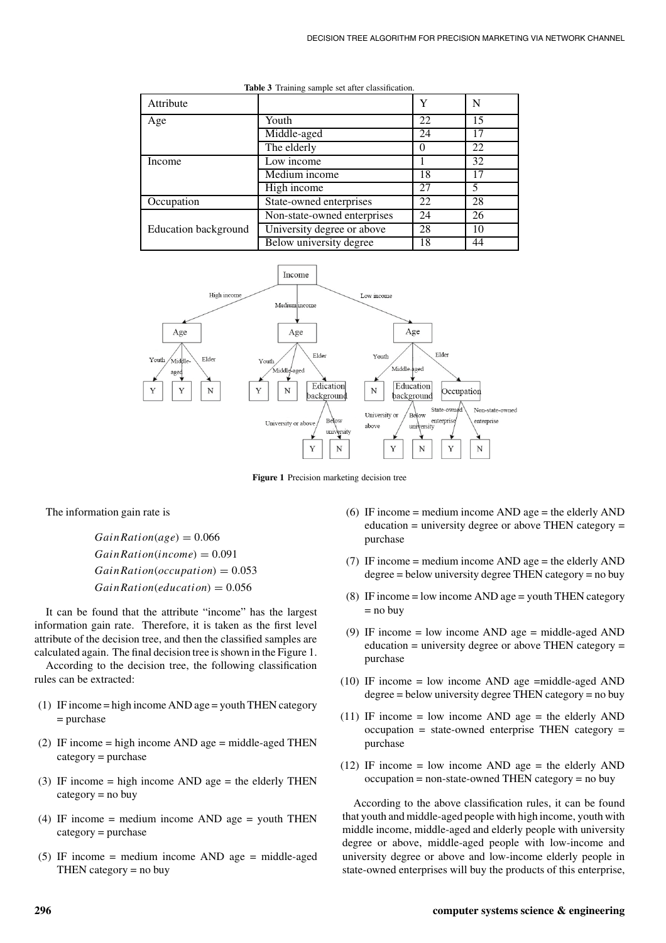| Attribute            |                             | Y  | N  |
|----------------------|-----------------------------|----|----|
| Age                  | Youth                       | 22 | 15 |
|                      | Middle-aged                 | 24 |    |
|                      | The elderly                 |    | 22 |
| Income               | Low income                  |    | 32 |
|                      | Medium income               | 18 | 17 |
|                      | High income                 | 27 | 5  |
| Occupation           | State-owned enterprises     | 22 | 28 |
|                      | Non-state-owned enterprises | 24 | 26 |
| Education background | University degree or above  | 28 | 10 |
|                      | Below university degree     | 18 | 44 |

**Table 3** Training sample set after classification.



**Figure 1** Precision marketing decision tree

The information gain rate is

 $GainRation(age) = 0.066$ *GainRation*(*income*) = 0.091 *GainRation*(*occupation*) = 0.053 *GainRation*(*education*) = 0.056

It can be found that the attribute "income" has the largest information gain rate. Therefore, it is taken as the first level attribute of the decision tree, and then the classified samples are calculated again. The final decision tree is shown in the Figure 1.

According to the decision tree, the following classification rules can be extracted:

- (1) IF income = high income AND age = youth THEN category = purchase
- (2) IF income  $=$  high income AND age  $=$  middle-aged THEN category = purchase
- (3) IF income  $=$  high income AND age  $=$  the elderly THEN  $category = no buy$
- (4) IF income  $=$  medium income AND age  $=$  youth THEN category = purchase
- (5) IF income = medium income AND age = middle-aged THEN category  $=$  no buy
- (6) IF income = medium income AND age = the elderly AND  $eduction = university degree or above THEN category =$ purchase
- (7) IF income = medium income AND age = the elderly AND degree = below university degree THEN category = no buy
- (8) IF income  $=$  low income AND age  $=$  youth THEN category  $=$  no buy
- (9) IF income = low income AND age = middle-aged AND education = university degree or above THEN category = purchase
- $(10)$  IF income = low income AND age =middle-aged AND degree = below university degree THEN category = no buy
- (11) IF income = low income AND age = the elderly AND occupation = state-owned enterprise THEN category = purchase
- (12) IF income = low income AND age = the elderly AND occupation = non-state-owned THEN category = no buy

According to the above classification rules, it can be found that youth and middle-aged people with high income, youth with middle income, middle-aged and elderly people with university degree or above, middle-aged people with low-income and university degree or above and low-income elderly people in state-owned enterprises will buy the products of this enterprise,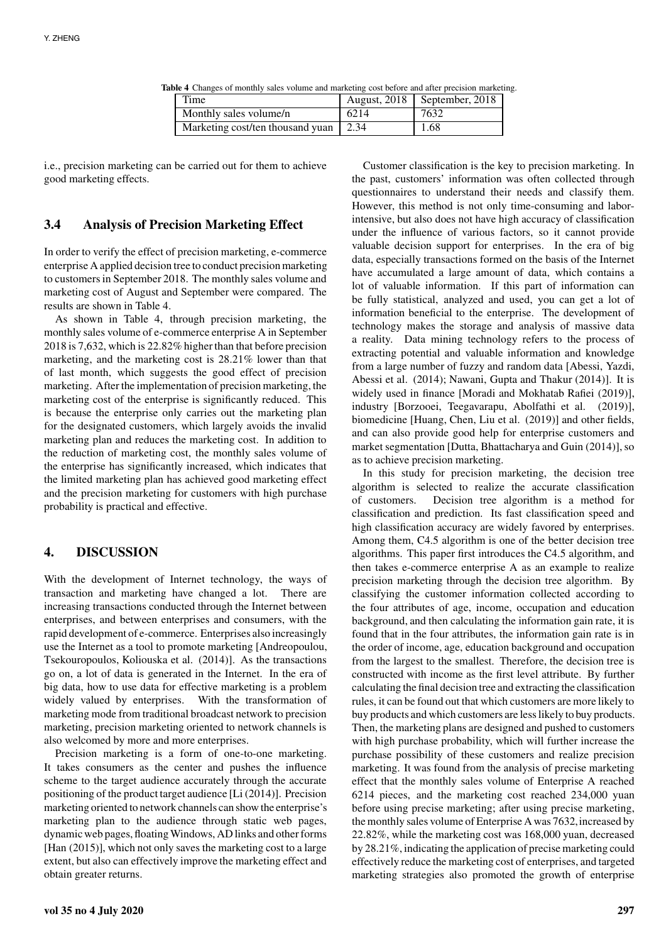**Table 4** Changes of monthly sales volume and marketing cost before and after precision marketing.

| Time                             | <b>August, 2018</b> | September, 2018 |
|----------------------------------|---------------------|-----------------|
| Monthly sales volume/n           | 6214                | 7632            |
| Marketing cost/ten thousand yuan | 2.34                | 1.68            |

i.e., precision marketing can be carried out for them to achieve good marketing effects.

# **3.4 Analysis of Precision Marketing Effect**

In order to verify the effect of precision marketing, e-commerce enterprise A applied decision tree to conduct precision marketing to customers in September 2018. The monthly sales volume and marketing cost of August and September were compared. The results are shown in Table 4.

As shown in Table 4, through precision marketing, the monthly sales volume of e-commerce enterprise A in September 2018 is 7,632, which is 22.82% higher than that before precision marketing, and the marketing cost is 28.21% lower than that of last month, which suggests the good effect of precision marketing. After the implementation of precision marketing, the marketing cost of the enterprise is significantly reduced. This is because the enterprise only carries out the marketing plan for the designated customers, which largely avoids the invalid marketing plan and reduces the marketing cost. In addition to the reduction of marketing cost, the monthly sales volume of the enterprise has significantly increased, which indicates that the limited marketing plan has achieved good marketing effect and the precision marketing for customers with high purchase probability is practical and effective.

# **4. DISCUSSION**

With the development of Internet technology, the ways of transaction and marketing have changed a lot. There are increasing transactions conducted through the Internet between enterprises, and between enterprises and consumers, with the rapid development of e-commerce. Enterprises also increasingly use the Internet as a tool to promote marketing [Andreopoulou, Tsekouropoulos, Koliouska et al. (2014)]. As the transactions go on, a lot of data is generated in the Internet. In the era of big data, how to use data for effective marketing is a problem widely valued by enterprises. With the transformation of marketing mode from traditional broadcast network to precision marketing, precision marketing oriented to network channels is also welcomed by more and more enterprises.

Precision marketing is a form of one-to-one marketing. It takes consumers as the center and pushes the influence scheme to the target audience accurately through the accurate positioning of the product target audience [Li (2014)]. Precision marketing oriented to network channels can show the enterprise's marketing plan to the audience through static web pages, dynamic web pages, floatingWindows, AD links and other forms [Han (2015)], which not only saves the marketing cost to a large extent, but also can effectively improve the marketing effect and obtain greater returns.

Customer classification is the key to precision marketing. In the past, customers' information was often collected through questionnaires to understand their needs and classify them. However, this method is not only time-consuming and laborintensive, but also does not have high accuracy of classification under the influence of various factors, so it cannot provide valuable decision support for enterprises. In the era of big data, especially transactions formed on the basis of the Internet have accumulated a large amount of data, which contains a lot of valuable information. If this part of information can be fully statistical, analyzed and used, you can get a lot of information beneficial to the enterprise. The development of technology makes the storage and analysis of massive data a reality. Data mining technology refers to the process of extracting potential and valuable information and knowledge from a large number of fuzzy and random data [Abessi, Yazdi, Abessi et al. (2014); Nawani, Gupta and Thakur (2014)]. It is widely used in finance [Moradi and Mokhatab Rafiei (2019)], industry [Borzooei, Teegavarapu, Abolfathi et al. (2019)], biomedicine [Huang, Chen, Liu et al. (2019)] and other fields, and can also provide good help for enterprise customers and market segmentation [Dutta, Bhattacharya and Guin (2014)], so as to achieve precision marketing.

In this study for precision marketing, the decision tree algorithm is selected to realize the accurate classification of customers. Decision tree algorithm is a method for classification and prediction. Its fast classification speed and high classification accuracy are widely favored by enterprises. Among them, C4.5 algorithm is one of the better decision tree algorithms. This paper first introduces the C4.5 algorithm, and then takes e-commerce enterprise A as an example to realize precision marketing through the decision tree algorithm. By classifying the customer information collected according to the four attributes of age, income, occupation and education background, and then calculating the information gain rate, it is found that in the four attributes, the information gain rate is in the order of income, age, education background and occupation from the largest to the smallest. Therefore, the decision tree is constructed with income as the first level attribute. By further calculating the final decision tree and extracting the classification rules, it can be found out that which customers are more likely to buy products and which customers are less likely to buy products. Then, the marketing plans are designed and pushed to customers with high purchase probability, which will further increase the purchase possibility of these customers and realize precision marketing. It was found from the analysis of precise marketing effect that the monthly sales volume of Enterprise A reached 6214 pieces, and the marketing cost reached 234,000 yuan before using precise marketing; after using precise marketing, the monthly sales volume of Enterprise A was 7632, increased by 22.82%, while the marketing cost was 168,000 yuan, decreased by 28.21%, indicating the application of precise marketing could effectively reduce the marketing cost of enterprises, and targeted marketing strategies also promoted the growth of enterprise